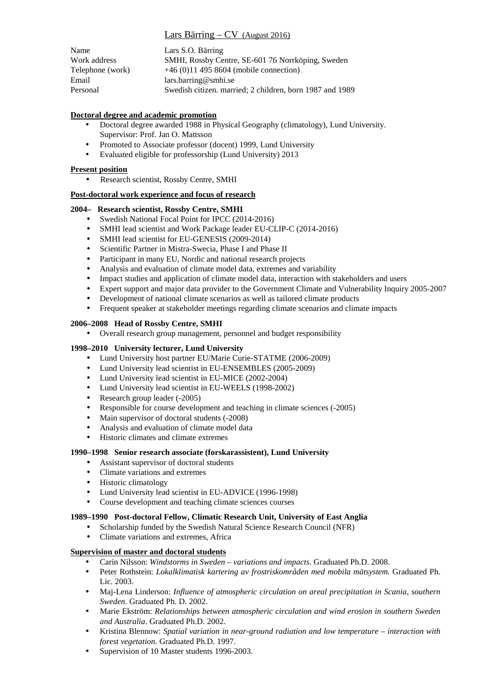# Lars Bärring – CV (August 2016)

| Name             | Lars S.O. Bärring                                        |
|------------------|----------------------------------------------------------|
| Work address     | SMHI, Rossby Centre, SE-601 76 Norrköping, Sweden        |
| Telephone (work) | $+46(0)114958604$ (mobile connection)                    |
| Email            | lars.barring@smhi.se                                     |
| Personal         | Swedish citizen. married: 2 children, born 1987 and 1989 |

# **Doctoral degree and academic promotion**

- Doctoral degree awarded 1988 in Physical Geography (climatology), Lund University. Supervisor: Prof. Jan O. Mattsson
- Promoted to Associate professor (docent) 1999, Lund University
- Evaluated eligible for professorship (Lund University) 2013

# **Present position**

• Research scientist, Rossby Centre, SMHI

## **Post-doctoral work experience and focus of research**

### **2004– Research scientist, Rossby Centre, SMHI**

- Swedish National Focal Point for IPCC (2014-2016)
- SMHI lead scientist and Work Package leader EU-CLIP-C (2014-2016)
- SMHI lead scientist for EU-GENESIS (2009-2014)
- Scientific Partner in Mistra-Swecia, Phase I and Phase II
- Participant in many EU, Nordic and national research projects
- Analysis and evaluation of climate model data, extremes and variability
- Impact studies and application of climate model data, interaction with stakeholders and users
- Expert support and major data provider to the Government Climate and Vulnerability Inquiry 2005-2007
- Development of national climate scenarios as well as tailored climate products
- Frequent speaker at stakeholder meetings regarding climate scenarios and climate impacts

# **2006–2008 Head of Rossby Centre, SMHI**

• Overall research group management, personnel and budget responsibility

### **1998–2010 University lecturer, Lund University**

- Lund University host partner EU/Marie Curie-STATME (2006-2009)
- Lund University lead scientist in EU-ENSEMBLES (2005-2009)
- Lund University lead scientist in EU-MICE (2002-2004)
- Lund University lead scientist in EU-WEELS (1998-2002)
- Research group leader (-2005)
- Responsible for course development and teaching in climate sciences (-2005)
- Main supervisor of doctoral students (-2008)
- Analysis and evaluation of climate model data
- Historic climates and climate extremes

### **1990–1998 Senior research associate (forskarassistent), Lund University**

- Assistant supervisor of doctoral students
- Climate variations and extremes
- Historic climatology
- Lund University lead scientist in EU-ADVICE (1996-1998)
- Course development and teaching climate sciences courses

### **1989–1990 Post-doctoral Fellow, Climatic Research Unit, University of East Anglia**

- Scholarship funded by the Swedish Natural Science Research Council (NFR)
- Climate variations and extremes, Africa

### **Supervision of master and doctoral students**

- Carin Nilsson: *Windstorms in Sweden variations and impacts*. Graduated Ph.D. 2008.
- Peter Rothstein: *Lokalklimatisk kartering av frostriskområden med mobila mätsystem.* Graduated Ph. Lic. 2003.
- Maj-Lena Linderson: *Influence of atmospheric circulation on areal precipitation in Scania, southern Sweden*. Graduated Ph. D. 2002.
- Marie Ekström: *Relationships between atmospheric circulation and wind erosion in southern Sweden and Australia*. Graduated Ph.D. 2002.
- Kristina Blennow: *Spatial variation in near-ground radiation and low temperature interaction with forest vegetation*. Graduated Ph.D. 1997.
- Supervision of 10 Master students 1996-2003.